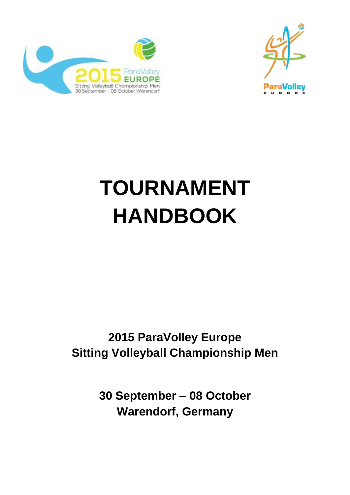



# **TOURNAMENT HANDBOOK**

# **2015 ParaVolley Europe Sitting Volleyball Championship Men**

**30 September – 08 October Warendorf, Germany**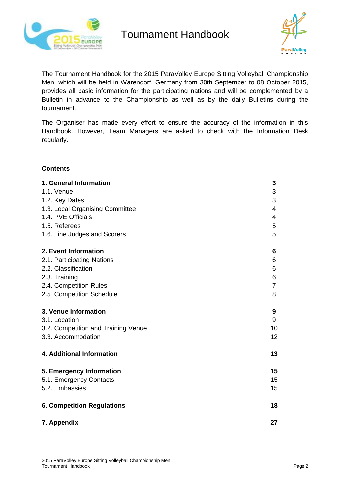



The Tournament Handbook for the 2015 ParaVolley Europe Sitting Volleyball Championship Men, which will be held in Warendorf, Germany from 30th September to 08 October 2015, provides all basic information for the participating nations and will be complemented by a Bulletin in advance to the Championship as well as by the daily Bulletins during the tournament.

The Organiser has made every effort to ensure the accuracy of the information in this Handbook. However, Team Managers are asked to check with the Information Desk regularly.

### **Contents**

| 1. General Information              | 3              |
|-------------------------------------|----------------|
| 1.1. Venue                          | 3              |
| 1.2. Key Dates                      | 3              |
| 1.3. Local Organising Committee     | $\overline{4}$ |
| 1.4. PVE Officials                  | 4              |
| 1.5. Referees                       | 5              |
| 1.6. Line Judges and Scorers        | 5              |
| 2. Event Information                | 6              |
| 2.1. Participating Nations          | 6              |
| 2.2. Classification                 | 6              |
| 2.3. Training                       | $\,6$          |
| 2.4. Competition Rules              | $\overline{7}$ |
| 2.5 Competition Schedule            | 8              |
| 3. Venue Information                | 9              |
| 3.1. Location                       | 9              |
| 3.2. Competition and Training Venue | 10             |
| 3.3. Accommodation                  | 12             |
| 4. Additional Information           | 13             |
| 5. Emergency Information            | 15             |
| 5.1. Emergency Contacts             | 15             |
| 5.2. Embassies                      | 15             |
| <b>6. Competition Regulations</b>   | 18             |
| 7. Appendix                         | 27             |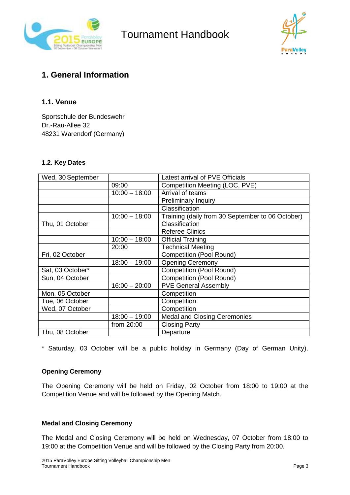



### **1. General Information**

### **1.1. Venue**

Sportschule der Bundeswehr Dr.-Rau-Allee 32 48231 Warendorf (Germany)

### **1.2. Key Dates**

| Wed, 30 September |                 | Latest arrival of PVE Officials                  |
|-------------------|-----------------|--------------------------------------------------|
|                   | 09:00           | Competition Meeting (LOC, PVE)                   |
|                   | $10:00 - 18:00$ | Arrival of teams                                 |
|                   |                 | <b>Preliminary Inquiry</b>                       |
|                   |                 | Classification                                   |
|                   | $10:00 - 18:00$ | Training (daily from 30 September to 06 October) |
| Thu, 01 October   |                 | Classification                                   |
|                   |                 | <b>Referee Clinics</b>                           |
|                   | $10:00 - 18:00$ | <b>Official Training</b>                         |
|                   | 20:00           | <b>Technical Meeting</b>                         |
| Fri, 02 October   |                 | <b>Competition (Pool Round)</b>                  |
|                   | $18:00 - 19:00$ | <b>Opening Ceremony</b>                          |
| Sat, 03 October*  |                 | <b>Competition (Pool Round)</b>                  |
| Sun, 04 October   |                 | <b>Competition (Pool Round)</b>                  |
|                   | $16:00 - 20:00$ | <b>PVE General Assembly</b>                      |
| Mon, 05 October   |                 | Competition                                      |
| Tue, 06 October   |                 | Competition                                      |
| Wed, 07 October   |                 | Competition                                      |
|                   | $18:00 - 19:00$ | <b>Medal and Closing Ceremonies</b>              |
|                   | from 20:00      | <b>Closing Party</b>                             |
| Thu, 08 October   |                 | Departure                                        |

\* Saturday, 03 October will be a public holiday in Germany (Day of German Unity).

### **Opening Ceremony**

The Opening Ceremony will be held on Friday, 02 October from 18:00 to 19:00 at the Competition Venue and will be followed by the Opening Match.

### **Medal and Closing Ceremony**

The Medal and Closing Ceremony will be held on Wednesday, 07 October from 18:00 to 19:00 at the Competition Venue and will be followed by the Closing Party from 20:00.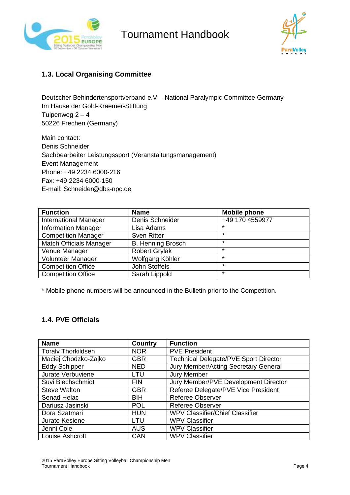



### **1.3. Local Organising Committee**

Deutscher Behindertensportverband e.V. - National Paralympic Committee Germany Im Hause der Gold-Kraemer-Stiftung Tulpenweg  $2 - 4$ 50226 Frechen (Germany)

Main contact: Denis Schneider Sachbearbeiter Leistungssport (Veranstaltungsmanagement) Event Management Phone: +49 2234 6000-216 Fax: +49 2234 6000-150 E-mail: Schneider@dbs-npc.de

| <b>Function</b>                | <b>Name</b>              | <b>Mobile phone</b> |
|--------------------------------|--------------------------|---------------------|
| <b>International Manager</b>   | Denis Schneider          | +49 170 4559977     |
| <b>Information Manager</b>     | Lisa Adams               | *                   |
| <b>Competition Manager</b>     | <b>Sven Ritter</b>       | $\star$             |
| <b>Match Officials Manager</b> | <b>B. Henning Brosch</b> | $\star$             |
| Venue Manager                  | <b>Robert Grylak</b>     | $\star$             |
| <b>Volunteer Manager</b>       | Wolfgang Köhler          | $\star$             |
| <b>Competition Office</b>      | John Stoffels            | $\star$             |
| <b>Competition Office</b>      | Sarah Lippold            | $\star$             |

\* Mobile phone numbers will be announced in the Bulletin prior to the Competition.

### **1.4. PVE Officials**

| <b>Name</b>               | <b>Country</b> | <b>Function</b>                              |
|---------------------------|----------------|----------------------------------------------|
| <b>Toralv Thorkildsen</b> | <b>NOR</b>     | <b>PVE President</b>                         |
| Maciej Chodzko-Zajko      | <b>GBR</b>     | <b>Technical Delegate/PVE Sport Director</b> |
| <b>Eddy Schipper</b>      | <b>NED</b>     | Jury Member/Acting Secretary General         |
| Jurate Verbuviene         | LTU            | <b>Jury Member</b>                           |
| Suvi Blechschmidt         | <b>FIN</b>     | Jury Member/PVE Development Director         |
| <b>Steve Walton</b>       | <b>GBR</b>     | Referee Delegate/PVE Vice President          |
| Senad Helac               | <b>BIH</b>     | <b>Referee Observer</b>                      |
| Dariusz Jasinski          | <b>POL</b>     | <b>Referee Observer</b>                      |
| Dora Szatmari             | <b>HUN</b>     | <b>WPV Classifier/Chief Classifier</b>       |
| Jurate Kesiene            | LTU            | <b>WPV Classifier</b>                        |
| Jenni Cole                | <b>AUS</b>     | <b>WPV Classifier</b>                        |
| Louise Ashcroft           | <b>CAN</b>     | <b>WPV Classifier</b>                        |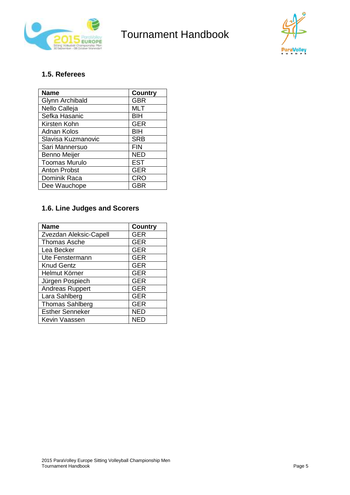



### **1.5. Referees**

| <b>Name</b>          | Country    |
|----------------------|------------|
| Glynn Archibald      | <b>GBR</b> |
| Nello Calleja        | <b>MLT</b> |
| Sefka Hasanic        | BIH        |
| Kirsten Kohn         | <b>GER</b> |
| <b>Adnan Kolos</b>   | <b>BIH</b> |
| Slavisa Kuzmanovic   | <b>SRB</b> |
| Sari Mannersuo       | <b>FIN</b> |
| Benno Meijer         | <b>NED</b> |
| <b>Toomas Murulo</b> | <b>EST</b> |
| <b>Anton Probst</b>  | <b>GER</b> |
| Dominik Raca         | <b>CRO</b> |
| Dee Wauchope         | GBR        |

### **1.6. Line Judges and Scorers**

| <b>Name</b>            | <b>Country</b> |
|------------------------|----------------|
| Zvezdan Aleksic-Capell | <b>GER</b>     |
| <b>Thomas Asche</b>    | <b>GER</b>     |
| Lea Becker             | <b>GER</b>     |
| Ute Fenstermann        | <b>GER</b>     |
| <b>Knud Gentz</b>      | <b>GER</b>     |
| Helmut Körner          | <b>GER</b>     |
| Jürgen Pospiech        | <b>GER</b>     |
| <b>Andreas Ruppert</b> | <b>GER</b>     |
| Lara Sahlberg          | <b>GER</b>     |
| <b>Thomas Sahlberg</b> | <b>GER</b>     |
| <b>Esther Senneker</b> | <b>NED</b>     |
| Kevin Vaassen          | NFD            |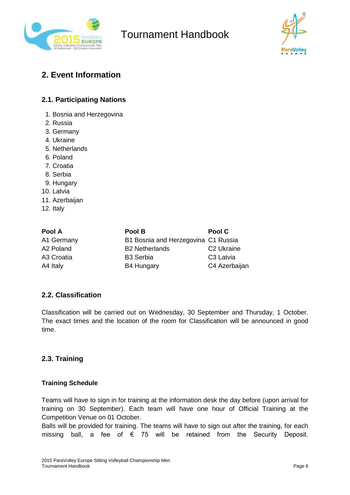



### **2. Event Information**

### **2.1. Participating Nations**

- 1. Bosnia and Herzegovina
- 2. Russia
- 3. Germany
- 4. Ukraine
- 5. Netherlands
- 6. Poland
- 7. Croatia
- 8. Serbia
- 9. Hungary
- 10. Latvia
- 11. Azerbaijan
- 12. Italy

| Pool A     | Pool B                              | Pool C                 |
|------------|-------------------------------------|------------------------|
| A1 Germany | B1 Bosnia and Herzegovina C1 Russia |                        |
| A2 Poland  | <b>B2 Netherlands</b>               | C <sub>2</sub> Ukraine |
| A3 Croatia | <b>B3 Serbia</b>                    | C <sub>3</sub> Latvia  |
| A4 Italy   | <b>B4 Hungary</b>                   | C4 Azerbaijan          |

### **2.2. Classification**

Classification will be carried out on Wednesday, 30 September and Thursday, 1 October. The exact times and the location of the room for Classification will be announced in good time.

### **2.3. Training**

#### **Training Schedule**

Teams will have to sign in for training at the information desk the day before (upon arrival for training on 30 September). Each team will have one hour of Official Training at the Competition Venue on 01 October.

Balls will be provided for training. The teams will have to sign out after the training, for each missing ball, a fee of  $\epsilon$  75 will be retained from the Security Deposit.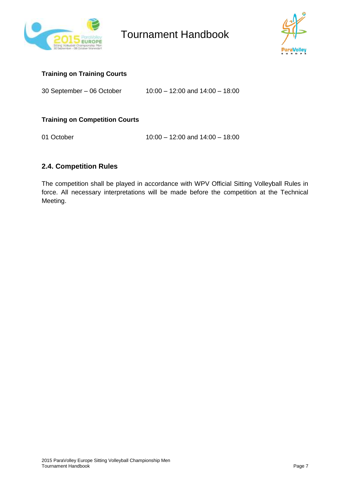



### **Training on Training Courts**

30 September – 06 October 10:00 – 12:00 and 14:00 – 18:00

### **Training on Competition Courts**

01 October 10:00 – 12:00 and 14:00 – 18:00

### **2.4. Competition Rules**

The competition shall be played in accordance with WPV Official Sitting Volleyball Rules in force. All necessary interpretations will be made before the competition at the Technical Meeting.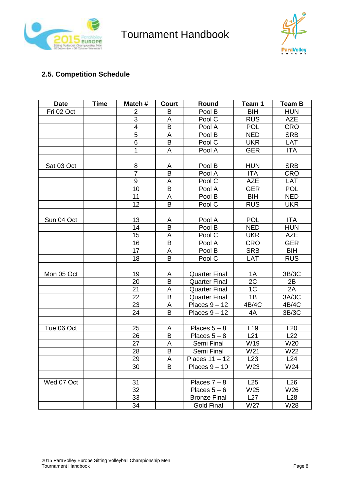



### **2.5. Competition Schedule**

| <b>Date</b> | <b>Time</b> | Match#         | Court                   | Round                | Team 1          | <b>Team B</b> |
|-------------|-------------|----------------|-------------------------|----------------------|-----------------|---------------|
| Fri 02 Oct  |             | $\overline{2}$ | B                       | Pool B               | <b>BIH</b>      | <b>HUN</b>    |
|             |             | 3              | Α                       | Pool C               | <b>RUS</b>      | <b>AZE</b>    |
|             |             | 4              | B                       | Pool A               | <b>POL</b>      | <b>CRO</b>    |
|             |             | 5              | A                       | Pool B               | <b>NED</b>      | <b>SRB</b>    |
|             |             | 6              | B                       | Pool C               | <b>UKR</b>      | LAT           |
|             |             | 1              | A                       | Pool A               | <b>GER</b>      | <b>ITA</b>    |
|             |             |                |                         |                      |                 |               |
| Sat 03 Oct  |             | 8              | A                       | Pool B               | <b>HUN</b>      | <b>SRB</b>    |
|             |             | $\overline{7}$ | B                       | Pool A               | <b>ITA</b>      | <b>CRO</b>    |
|             |             | 9              | A                       | Pool C               | <b>AZE</b>      | LAT           |
|             |             | 10             | B                       | Pool A               | <b>GER</b>      | <b>POL</b>    |
|             |             | 11             | A                       | Pool B               | <b>BIH</b>      | <b>NED</b>    |
|             |             | 12             | B                       | Pool C               | <b>RUS</b>      | <b>UKR</b>    |
|             |             |                |                         |                      |                 |               |
| Sun 04 Oct  |             | 13             | A                       | Pool A               | <b>POL</b>      | <b>ITA</b>    |
|             |             | 14             | B                       | Pool B               | <b>NED</b>      | <b>HUN</b>    |
|             |             | 15             | A                       | Pool C               | <b>UKR</b>      | <b>AZE</b>    |
|             |             | 16             | B                       | Pool A               | <b>CRO</b>      | <b>GER</b>    |
|             |             | 17             | A                       | Pool B               | <b>SRB</b>      | <b>BIH</b>    |
|             |             | 18             | B                       | Pool C               | <b>LAT</b>      | <b>RUS</b>    |
|             |             |                |                         |                      |                 |               |
| Mon 05 Oct  |             | 19             | A                       | <b>Quarter Final</b> | 1A              | 3B/3C         |
|             |             | 20             | $\overline{\mathsf{B}}$ | <b>Quarter Final</b> | $\overline{2C}$ | 2B            |
|             |             | 21             | А                       | <b>Quarter Final</b> | 1 <sup>C</sup>  | 2A            |
|             |             | 22             | B                       | <b>Quarter Final</b> | 1B              | 3A/3C         |
|             |             | 23             | A                       | Places $9 - 12$      | 4B/4C           | 4B/4C         |
|             |             | 24             | B                       | Places $9 - 12$      | 4A              | 3B/3C         |
|             |             |                |                         |                      |                 |               |
| Tue 06 Oct  |             | 25             | А                       | Places $5 - 8$       | L <sub>19</sub> | L20           |
|             |             | 26             | B                       | Places $5 - 8$       | L21             | L22           |
|             |             | 27             | A                       | Semi Final           | W19             | W20           |
|             |             | 28             | B                       | Semi Final           | W21             | W22           |
|             |             | 29             | A                       | Places $11 - 12$     | L23             | L24           |
|             |             | 30             | B                       | Places $9 - 10$      | W23             | W24           |
|             |             |                |                         |                      |                 |               |
| Wed 07 Oct  |             | 31             |                         | Places $7 - 8$       | L25             | L26           |
|             |             | 32             |                         | Places $5-6$         | W25             | W26           |
|             |             | 33             |                         | <b>Bronze Final</b>  | L27             | L28           |
|             |             | 34             |                         | <b>Gold Final</b>    | W27             | W28           |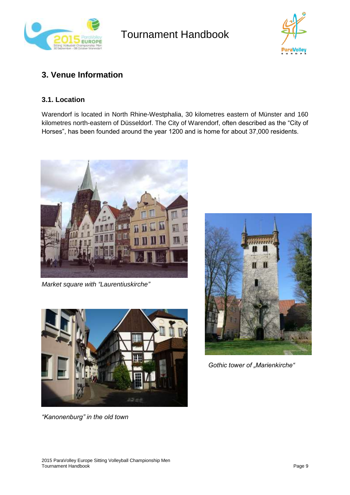



### **3. Venue Information**

### **3.1. Location**

Warendorf is located in North Rhine-Westphalia, 30 kilometres eastern of Münster and 160 kilometres north-eastern of Düsseldorf. The City of Warendorf, often described as the "City of Horses", has been founded around the year 1200 and is home for about 37,000 residents.



*Market square with "Laurentiuskirche"*



*"Kanonenburg" in the old town*



Gothic tower of "Marienkirche"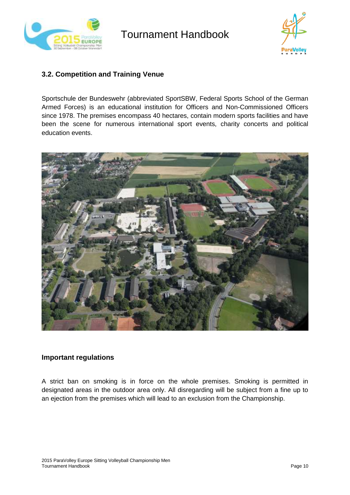



### **3.2. Competition and Training Venue**

Sportschule der Bundeswehr (abbreviated SportSBW, Federal Sports School of the German Armed Forces) is an educational institution for Officers and Non-Commissioned Officers since 1978. The premises encompass 40 hectares, contain modern sports facilities and have been the scene for numerous international sport events, charity concerts and political education events.



#### **Important regulations**

A strict ban on smoking is in force on the whole premises. Smoking is permitted in designated areas in the outdoor area only. All disregarding will be subject from a fine up to an ejection from the premises which will lead to an exclusion from the Championship.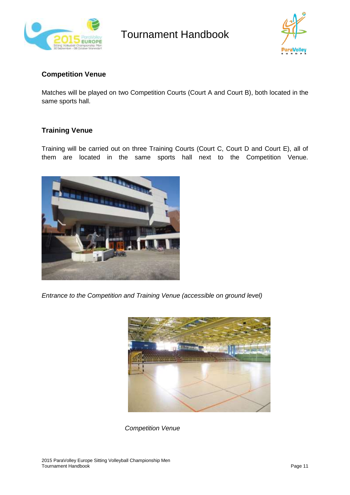



### **Competition Venue**

Matches will be played on two Competition Courts (Court A and Court B), both located in the same sports hall.

### **Training Venue**

Training will be carried out on three Training Courts (Court C, Court D and Court E), all of them are located in the same sports hall next to the Competition Venue.



*Entrance to the Competition and Training Venue (accessible on ground level)*



*Competition Venue*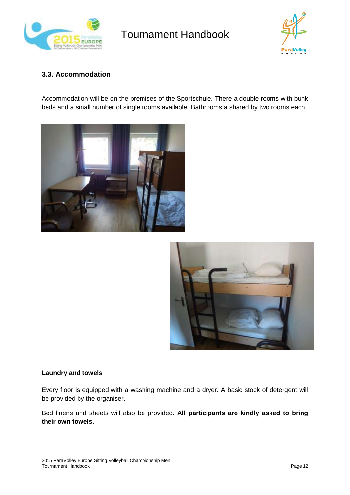



### **3.3. Accommodation**

Accommodation will be on the premises of the Sportschule. There a double rooms with bunk beds and a small number of single rooms available. Bathrooms a shared by two rooms each.





#### **Laundry and towels**

Every floor is equipped with a washing machine and a dryer. A basic stock of detergent will be provided by the organiser.

Bed linens and sheets will also be provided. **All participants are kindly asked to bring their own towels.**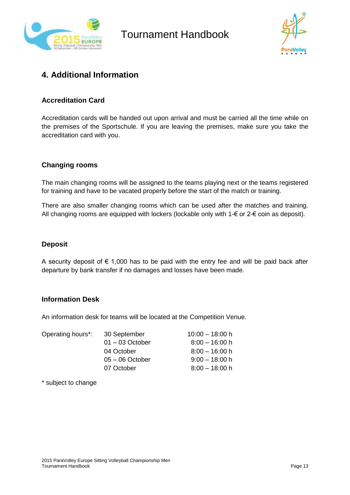



### **4. Additional Information**

### **Accreditation Card**

Accreditation cards will be handed out upon arrival and must be carried all the time while on the premises of the Sportschule. If you are leaving the premises, make sure you take the accreditation card with you.

### **Changing rooms**

The main changing rooms will be assigned to the teams playing next or the teams registered for training and have to be vacated properly before the start of the match or training.

There are also smaller changing rooms which can be used after the matches and training. All changing rooms are equipped with lockers (lockable only with  $1-\epsilon$  or  $2-\epsilon$  coin as deposit).

### **Deposit**

A security deposit of  $\epsilon$  1,000 has to be paid with the entry fee and will be paid back after departure by bank transfer if no damages and losses have been made.

### **Information Desk**

An information desk for teams will be located at the Competition Venue.

| 30 September      | $10:00 - 18:00$ h |
|-------------------|-------------------|
| $01 - 03$ October | $8:00 - 16:00$ h  |
| 04 October        | $8:00 - 16:00 h$  |
| $05 - 06$ October | $9:00 - 18:00$ h  |
| 07 October        | $8:00 - 18:00$ h  |
|                   |                   |

\* subject to change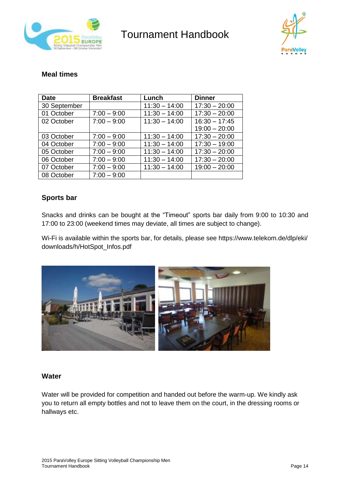



### **Meal times**

| <b>Date</b>  | <b>Breakfast</b> | Lunch           | <b>Dinner</b>   |
|--------------|------------------|-----------------|-----------------|
| 30 September |                  | $11:30 - 14:00$ | $17:30 - 20:00$ |
| 01 October   | $7:00 - 9:00$    | $11:30 - 14:00$ | $17:30 - 20:00$ |
| 02 October   | $7:00 - 9:00$    | $11:30 - 14:00$ | $16:30 - 17:45$ |
|              |                  |                 | $19:00 - 20:00$ |
| 03 October   | $7:00 - 9:00$    | $11:30 - 14:00$ | $17:30 - 20:00$ |
| 04 October   | $7:00 - 9:00$    | $11:30 - 14:00$ | $17:30 - 19:00$ |
| 05 October   | $7:00 - 9:00$    | $11:30 - 14:00$ | $17:30 - 20:00$ |
| 06 October   | $7:00 - 9:00$    | $11:30 - 14:00$ | $17:30 - 20:00$ |
| 07 October   | $7:00 - 9:00$    | $11:30 - 14:00$ | $19:00 - 20:00$ |
| 08 October   | $7:00 - 9:00$    |                 |                 |

### **Sports bar**

Snacks and drinks can be bought at the "Timeout" sports bar daily from 9:00 to 10:30 and 17:00 to 23:00 (weekend times may deviate, all times are subject to change).

Wi-Fi is available within the sports bar, for details, please see [https://www.telekom.de/dlp/eki/](https://www.telekom.de/dlp/eki/%20downloads/h/HotSpot_Infos.pdf)  [downloads/h/HotSpot\\_Infos.pdf](https://www.telekom.de/dlp/eki/%20downloads/h/HotSpot_Infos.pdf)



### **Water**

Water will be provided for competition and handed out before the warm-up. We kindly ask you to return all empty bottles and not to leave them on the court, in the dressing rooms or hallways etc.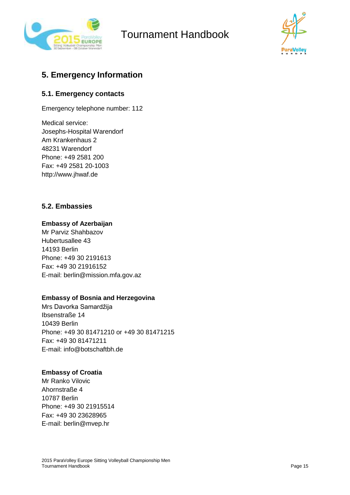



### **5. Emergency Information**

### **5.1. Emergency contacts**

Emergency telephone number: 112

Medical service: Josephs-Hospital Warendorf Am Krankenhaus 2 48231 Warendorf Phone: +49 2581 200 Fax: +49 2581 20-1003 http://www.jhwaf.de

### **5.2. Embassies**

### **Embassy of Azerbaijan**

Mr Parviz Shahbazov Hubertusallee 43 14193 Berlin Phone: +49 30 2191613 Fax: +49 30 21916152 E-mail: berlin@mission.mfa.gov.az

### **Embassy of Bosnia and Herzegovina**

Mrs Davorka Samardžija Ibsenstraße 14 10439 Berlin Phone: +49 30 81471210 or +49 30 81471215 Fax: +49 30 81471211 E-mail: info@botschaftbh.de

#### **Embassy of Croatia**

Mr Ranko Vilovic Ahornstraße 4 10787 Berlin Phone: +49 30 21915514 Fax: +49 30 23628965 E-mail: berlin@mvep.hr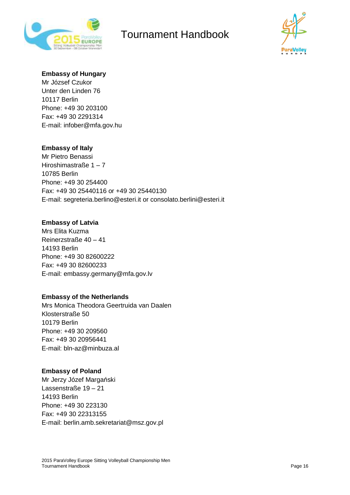



#### **Embassy of Hungary**

Mr József Czukor Unter den Linden 76 10117 Berlin Phone: +49 30 203100 Fax: +49 30 2291314 E-mail: infober@mfa.gov.hu

### **Embassy of Italy**

Mr Pietro Benassi Hiroshimastraße 1 – 7 10785 Berlin Phone: +49 30 254400 Fax: +49 30 25440116 or +49 30 25440130 E-mail: segreteria.berlino@esteri.it or consolato.berlini@esteri.it

#### **Embassy of Latvia**

Mrs Elita Kuzma Reinerzstraße 40 – 41 14193 Berlin Phone: +49 30 82600222 Fax: +49 30 82600233 E-mail: embassy.germany@mfa.gov.lv

### **Embassy of the Netherlands**

Mrs Monica Theodora Geertruida van Daalen Klosterstraße 50 10179 Berlin Phone: +49 30 209560 Fax: +49 30 20956441 E-mail: bln-az@minbuza.al

#### **Embassy of Poland**

Mr Jerzy Józef Margański Lassenstraße 19 – 21 14193 Berlin Phone: +49 30 223130 Fax: +49 30 22313155 E-mail: berlin.amb.sekretariat@msz.gov.pl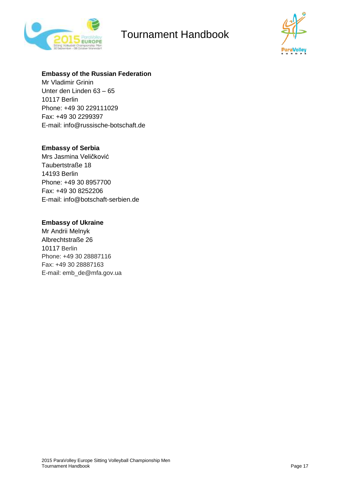



### **Embassy of the Russian Federation**

Mr Vladimir Grinin Unter den Linden 63 – 65 10117 Berlin Phone: +49 30 229111029 Fax: +49 30 2299397 E-mail: info@russische-botschaft.de

### **Embassy of Serbia**

Mrs Jasmina Veličković Taubertstraße 18 14193 Berlin Phone: +49 30 8957700 Fax: +49 30 8252206 E-mail: info@botschaft-serbien.de

#### **Embassy of Ukraine**

Mr Andrii Melnyk Albrechtstraße 26 10117 Berlin Phone: +49 30 28887116 Fax: +49 30 28887163 E-mail: emb\_de@mfa.gov.ua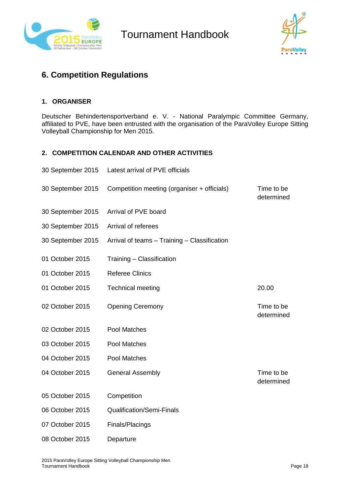



### **6. Competition Regulations**

### **1. ORGANISER**

Deutscher Behindertensportverband e. V. - National Paralympic Committee Germany, affiliated to PVE, have been entrusted with the organisation of the ParaVolley Europe Sitting Volleyball Championship for Men 2015.

### **2. COMPETITION CALENDAR AND OTHER ACTIVITIES**

| 30 September 2015 | Latest arrival of PVE officials              |                          |
|-------------------|----------------------------------------------|--------------------------|
| 30 September 2015 | Competition meeting (organiser + officials)  | Time to be<br>determined |
| 30 September 2015 | Arrival of PVE board                         |                          |
| 30 September 2015 | Arrival of referees                          |                          |
| 30 September 2015 | Arrival of teams - Training - Classification |                          |
| 01 October 2015   | Training - Classification                    |                          |
| 01 October 2015   | <b>Referee Clinics</b>                       |                          |
| 01 October 2015   | <b>Technical meeting</b>                     | 20.00                    |
| 02 October 2015   | <b>Opening Ceremony</b>                      | Time to be<br>determined |
| 02 October 2015   | Pool Matches                                 |                          |
| 03 October 2015   | Pool Matches                                 |                          |
| 04 October 2015   | Pool Matches                                 |                          |
| 04 October 2015   | <b>General Assembly</b>                      | Time to be<br>determined |
| 05 October 2015   | Competition                                  |                          |
| 06 October 2015   | <b>Qualification/Semi-Finals</b>             |                          |
| 07 October 2015   | Finals/Placings                              |                          |
| 08 October 2015   | Departure                                    |                          |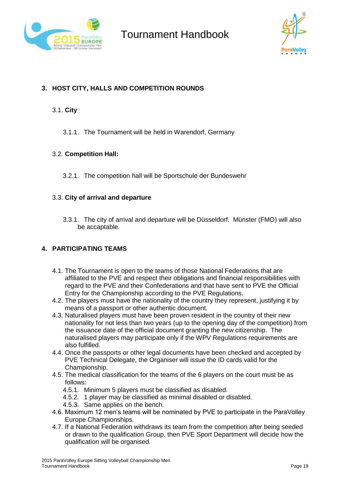



### **3. HOST CITY, HALLS AND COMPETITION ROUNDS**

#### 3.1. **City**

3.1.1. The Tournament will be held in Warendorf, Germany

### 3.2. **Competition Hall:**

3.2.1. The competition hall will be Sportschule der Bundeswehr

#### 3.3. **City of arrival and departure**

3.3.1. The city of arrival and departure will be Düsseldorf. Münster (FMO) will also be accaptable.

### **4. PARTICIPATING TEAMS**

- 4.1. The Tournament is open to the teams of those National Federations that are affiliated to the PVE and respect their obligations and financial responsibilities with regard to the PVE and their Confederations and that have sent to PVE the Official Entry for the Championship according to the PVE Regulations.
- 4.2. The players must have the nationality of the country they represent, justifying it by means of a passport or other authentic document.
- 4.3. Naturalised players must have been proven resident in the country of their new nationality for not less than two years (up to the opening day of the competition) from the issuance date of the official document granting the new citizenship. The naturalised players may participate only if the WPV Regulations requirements are also fulfilled.
- 4.4. Once the passports or other legal documents have been checked and accepted by PVE Technical Delegate, the Organiser will issue the ID cards valid for the Championship.
- 4.5. The medical classification for the teams of the 6 players on the court must be as follows:
	- 4.5.1. Minimum 5 players must be classified as disabled.
	- 4.5.2. 1 player may be classified as minimal disabled or disabled.
	- 4.5.3. Same applies on the bench.
- 4.6. Maximum 12 men's teams will be nominated by PVE to participate in the ParaVolley Europe Championships.
- 4.7. If a National Federation withdraws its team from the competition after being seeded or drawn to the qualification Group, then PVE Sport Department will decide how the qualification will be organised.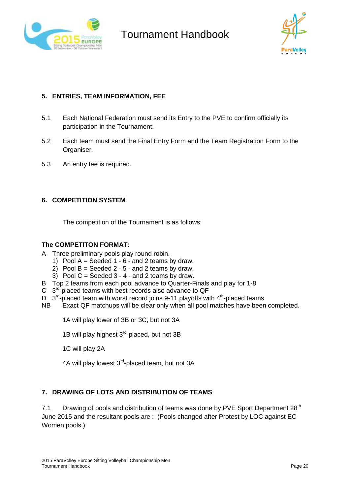



### **5. ENTRIES, TEAM INFORMATION, FEE**

- 5.1 Each National Federation must send its Entry to the PVE to confirm officially its participation in the Tournament.
- 5.2 Each team must send the Final Entry Form and the Team Registration Form to the Organiser.
- 5.3 An entry fee is required.

### **6. COMPETITION SYSTEM**

The competition of the Tournament is as follows:

### **The COMPETITON FORMAT:**

- A Three preliminary pools play round robin.
	- 1) Pool  $A =$  Seeded 1  $6$  and 2 teams by draw.
	- 2) Pool  $B =$  Seeded  $2 5 -$  and 2 teams by draw.
	- 3) Pool  $C =$  Seeded  $3 4 -$  and 2 teams by draw.
- B Top 2 teams from each pool advance to Quarter-Finals and play for 1-8
- $C$  3<sup>rd</sup>-placed teams with best records also advance to QF
- D  $3<sup>rd</sup>$ -placed team with worst record joins 9-11 playoffs with 4<sup>th</sup>-placed teams
- NB Exact QF matchups will be clear only when all pool matches have been completed.

1A will play lower of 3B or 3C, but not 3A

1B will play highest 3<sup>rd</sup>-placed, but not 3B

1C will play 2A

4A will play lowest 3<sup>rd</sup>-placed team, but not 3A

### **7. DRAWING OF LOTS AND DISTRIBUTION OF TEAMS**

7.1 Drawing of pools and distribution of teams was done by PVE Sport Department 28<sup>th</sup> June 2015 and the resultant pools are : (Pools changed after Protest by LOC against EC Women pools.)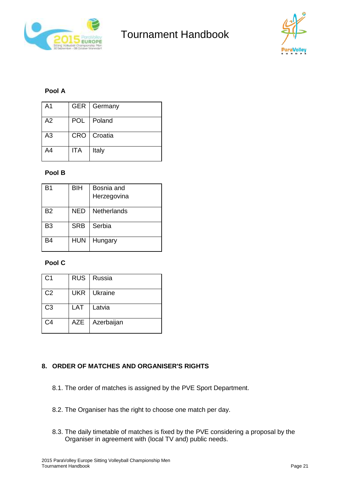



### **Pool A**

| A <sub>1</sub> |     | GER   Germany |
|----------------|-----|---------------|
| A2             |     | POL   Poland  |
| A3             |     | CRO   Croatia |
| A4             | ITA | Italy         |

### **Pool B**

| B1             | <b>BIH</b> | Bosnia and<br>Herzegovina |
|----------------|------------|---------------------------|
| <b>B2</b>      | NED        | Netherlands               |
| B <sub>3</sub> | <b>SRB</b> | Serbia                    |
| R4             | <b>HUN</b> | Hungary                   |

### **Pool C**

| C <sub>1</sub> |     | RUS   Russia  |
|----------------|-----|---------------|
| C <sub>2</sub> |     | UKR   Ukraine |
| C <sub>3</sub> | LAT | Latvia        |
| C4             | AZE | Azerbaijan    |

### **8. ORDER OF MATCHES AND ORGANISER'S RIGHTS**

- 8.1. The order of matches is assigned by the PVE Sport Department.
- 8.2. The Organiser has the right to choose one match per day.
- 8.3. The daily timetable of matches is fixed by the PVE considering a proposal by the Organiser in agreement with (local TV and) public needs.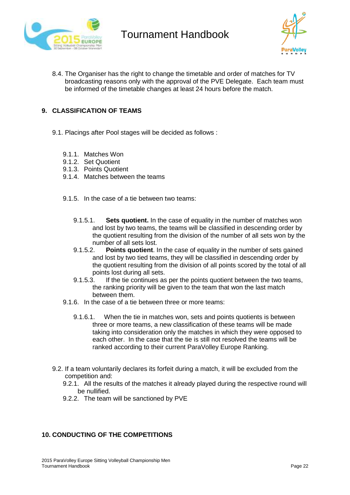



8.4. The Organiser has the right to change the timetable and order of matches for TV broadcasting reasons only with the approval of the PVE Delegate. Each team must be informed of the timetable changes at least 24 hours before the match.

### **9. CLASSIFICATION OF TEAMS**

- 9.1. Placings after Pool stages will be decided as follows :
	- 9.1.1. Matches Won
	- 9.1.2. Set Quotient
	- 9.1.3. Points Quotient
	- 9.1.4. Matches between the teams
	- 9.1.5. In the case of a tie between two teams:
		- 9.1.5.1. **Sets quotient.** In the case of equality in the number of matches won and lost by two teams, the teams will be classified in descending order by the quotient resulting from the division of the number of all sets won by the number of all sets lost.
		- 9.1.5.2. **Points quotient**. In the case of equality in the number of sets gained and lost by two tied teams, they will be classified in descending order by the quotient resulting from the division of all points scored by the total of all points lost during all sets.<br>9.1.5.3. If the tie continues as
		- If the tie continues as per the points quotient between the two teams, the ranking priority will be given to the team that won the last match between them.
	- 9.1.6. In the case of a tie between three or more teams:
		- 9.1.6.1. When the tie in matches won, sets and points quotients is between three or more teams, a new classification of these teams will be made taking into consideration only the matches in which they were opposed to each other. In the case that the tie is still not resolved the teams will be ranked according to their current ParaVolley Europe Ranking.
- 9.2. If a team voluntarily declares its forfeit during a match, it will be excluded from the competition and:
	- 9.2.1. All the results of the matches it already played during the respective round will be nullified.
	- 9.2.2. The team will be sanctioned by PVE

#### **10. CONDUCTING OF THE COMPETITIONS**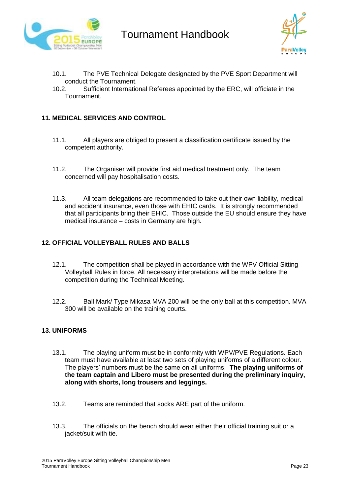



- 10.1. The PVE Technical Delegate designated by the PVE Sport Department will conduct the Tournament.
- 10.2. Sufficient International Referees appointed by the ERC, will officiate in the **Tournament**

### **11. MEDICAL SERVICES AND CONTROL**

- 11.1. All players are obliged to present a classification certificate issued by the competent authority.
- 11.2. The Organiser will provide first aid medical treatment only. The team concerned will pay hospitalisation costs.
- 11.3. All team delegations are recommended to take out their own liability, medical and accident insurance, even those with EHIC cards. It is strongly recommended that all participants bring their EHIC. Those outside the EU should ensure they have medical insurance – costs in Germany are high.

### **12. OFFICIAL VOLLEYBALL RULES AND BALLS**

- 12.1. The competition shall be played in accordance with the WPV Official Sitting Volleyball Rules in force. All necessary interpretations will be made before the competition during the Technical Meeting.
- 12.2. Ball Mark/ Type Mikasa MVA 200 will be the only ball at this competition. MVA 300 will be available on the training courts.

#### **13. UNIFORMS**

- 13.1. The playing uniform must be in conformity with WPV/PVE Regulations. Each team must have available at least two sets of playing uniforms of a different colour. The players' numbers must be the same on all uniforms. **The playing uniforms of the team captain and Libero must be presented during the preliminary inquiry, along with shorts, long trousers and leggings.**
- 13.2. Teams are reminded that socks ARE part of the uniform.
- 13.3. The officials on the bench should wear either their official training suit or a jacket/suit with tie.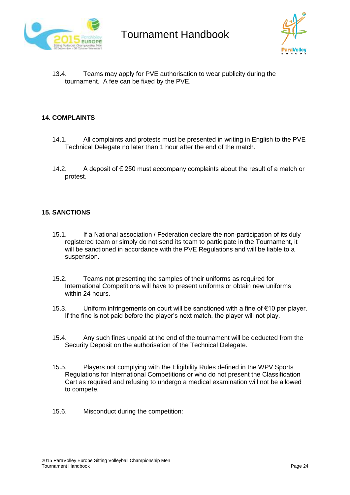



13.4. Teams may apply for PVE authorisation to wear publicity during the tournament. A fee can be fixed by the PVE.

#### **14. COMPLAINTS**

- 14.1. All complaints and protests must be presented in writing in English to the PVE Technical Delegate no later than 1 hour after the end of the match.
- 14.2. A deposit of € 250 must accompany complaints about the result of a match or protest.

#### **15. SANCTIONS**

- 15.1. If a National association / Federation declare the non-participation of its duly registered team or simply do not send its team to participate in the Tournament, it will be sanctioned in accordance with the PVE Regulations and will be liable to a suspension.
- 15.2. Teams not presenting the samples of their uniforms as required for International Competitions will have to present uniforms or obtain new uniforms within 24 hours.
- 15.3. Uniform infringements on court will be sanctioned with a fine of €10 per player. If the fine is not paid before the player's next match, the player will not play.
- 15.4. Any such fines unpaid at the end of the tournament will be deducted from the Security Deposit on the authorisation of the Technical Delegate.
- 15.5. Players not complying with the Eligibility Rules defined in the WPV Sports Regulations for International Competitions or who do not present the Classification Cart as required and refusing to undergo a medical examination will not be allowed to compete.
- 15.6. Misconduct during the competition: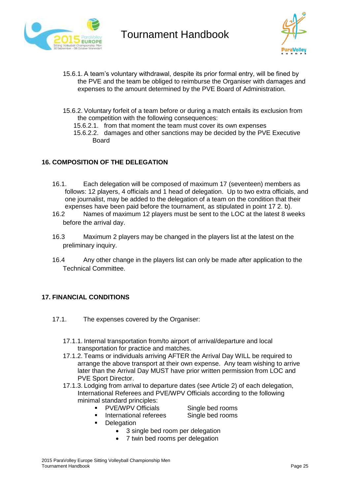



- 15.6.1. A team's voluntary withdrawal, despite its prior formal entry, will be fined by the PVE and the team be obliged to reimburse the Organiser with damages and expenses to the amount determined by the PVE Board of Administration.
- 15.6.2. Voluntary forfeit of a team before or during a match entails its exclusion from the competition with the following consequences:
	- 15.6.2.1. from that moment the team must cover its own expenses
	- 15.6.2.2. damages and other sanctions may be decided by the PVE Executive Board

### **16. COMPOSITION OF THE DELEGATION**

- 16.1. Each delegation will be composed of maximum 17 (seventeen) members as follows: 12 players, 4 officials and 1 head of delegation. Up to two extra officials, and one journalist, may be added to the delegation of a team on the condition that their expenses have been paid before the tournament, as stipulated in point 17 2. b).
- 16.2 Names of maximum 12 players must be sent to the LOC at the latest 8 weeks before the arrival day.
- 16.3 Maximum 2 players may be changed in the players list at the latest on the preliminary inquiry.
- 16.4 Any other change in the players list can only be made after application to the Technical Committee.

#### **17. FINANCIAL CONDITIONS**

- 17.1. The expenses covered by the Organiser:
	- 17.1.1. Internal transportation from/to airport of arrival/departure and local transportation for practice and matches.
	- 17.1.2. Teams or individuals arriving AFTER the Arrival Day WILL be required to arrange the above transport at their own expense. Any team wishing to arrive later than the Arrival Day MUST have prior written permission from LOC and PVE Sport Director.
	- 17.1.3. Lodging from arrival to departure dates (see Article 2) of each delegation, International Referees and PVE/WPV Officials according to the following minimal standard principles:
		- **•** PVE/WPV Officials Single bed rooms
			-
		- **International referees** Single bed rooms
		- **Delegation** 
			- 3 single bed room per delegation
			- 7 twin bed rooms per delegation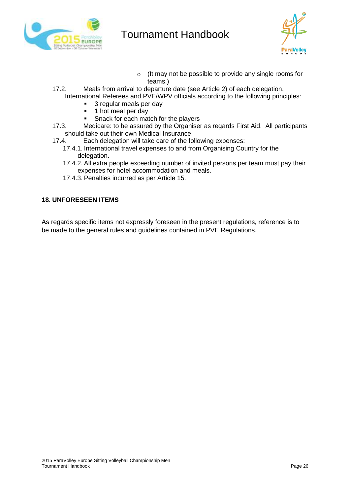



- o (It may not be possible to provide any single rooms for teams.)
- 17.2. Meals from arrival to departure date (see Article 2) of each delegation, International Referees and PVE/WPV officials according to the following principles:
	- 3 regular meals per day
	- **1** hot meal per day
	- **Snack for each match for the players**
- 17.3. Medicare: to be assured by the Organiser as regards First Aid. All participants should take out their own Medical Insurance.
- 17.4. Each delegation will take care of the following expenses:
	- 17.4.1. International travel expenses to and from Organising Country for the delegation.
	- 17.4.2. All extra people exceeding number of invited persons per team must pay their expenses for hotel accommodation and meals.
	- 17.4.3. Penalties incurred as per Article 15.

### **18. UNFORESEEN ITEMS**

As regards specific items not expressly foreseen in the present regulations, reference is to be made to the general rules and guidelines contained in PVE Regulations.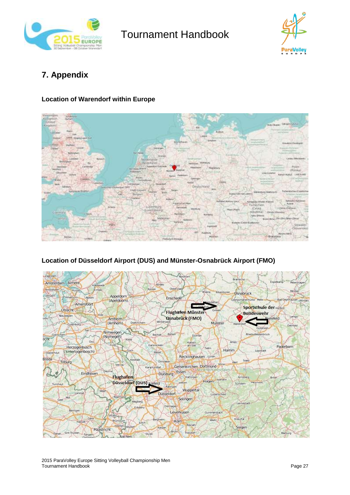



### **7. Appendix**

### **Location of Warendorf within Europe**



### **Location of Düsseldorf Airport (DUS) and Münster-Osnabrück Airport (FMO)**